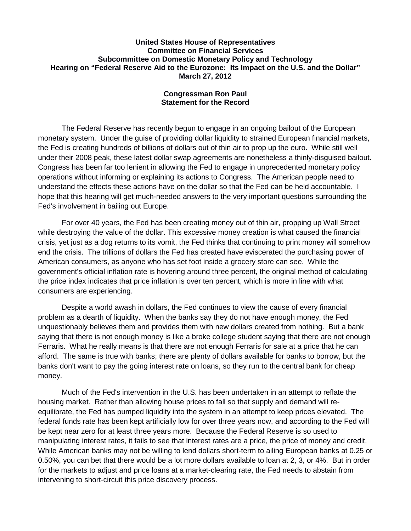## **United States House of Representatives Committee on Financial Services Subcommittee on Domestic Monetary Policy and Technology Hearing on "Federal Reserve Aid to the Eurozone: Its Impact on the U.S. and the Dollar" March 27, 2012**

## **Congressman Ron Paul Statement for the Record**

The Federal Reserve has recently begun to engage in an ongoing bailout of the European monetary system. Under the guise of providing dollar liquidity to strained European financial markets, the Fed is creating hundreds of billions of dollars out of thin air to prop up the euro. While still well under their 2008 peak, these latest dollar swap agreements are nonetheless a thinly-disguised bailout. Congress has been far too lenient in allowing the Fed to engage in unprecedented monetary policy operations without informing or explaining its actions to Congress. The American people need to understand the effects these actions have on the dollar so that the Fed can be held accountable. I hope that this hearing will get much-needed answers to the very important questions surrounding the Fed's involvement in bailing out Europe.

For over 40 years, the Fed has been creating money out of thin air, propping up Wall Street while destroying the value of the dollar. This excessive money creation is what caused the financial crisis, yet just as a dog returns to its vomit, the Fed thinks that continuing to print money will somehow end the crisis. The trillions of dollars the Fed has created have eviscerated the purchasing power of American consumers, as anyone who has set foot inside a grocery store can see. While the government's official inflation rate is hovering around three percent, the original method of calculating the price index indicates that price inflation is over ten percent, which is more in line with what consumers are experiencing.

Despite a world awash in dollars, the Fed continues to view the cause of every financial problem as a dearth of liquidity. When the banks say they do not have enough money, the Fed unquestionably believes them and provides them with new dollars created from nothing. But a bank saying that there is not enough money is like a broke college student saying that there are not enough Ferraris. What he really means is that there are not enough Ferraris for sale at a price that he can afford. The same is true with banks; there are plenty of dollars available for banks to borrow, but the banks don't want to pay the going interest rate on loans, so they run to the central bank for cheap money.

Much of the Fed's intervention in the U.S. has been undertaken in an attempt to reflate the housing market. Rather than allowing house prices to fall so that supply and demand will reequilibrate, the Fed has pumped liquidity into the system in an attempt to keep prices elevated. The federal funds rate has been kept artificially low for over three years now, and according to the Fed will be kept near zero for at least three years more. Because the Federal Reserve is so used to manipulating interest rates, it fails to see that interest rates are a price, the price of money and credit. While American banks may not be willing to lend dollars short-term to ailing European banks at 0.25 or 0.50%, you can bet that there would be a lot more dollars available to loan at 2, 3, or 4%. But in order for the markets to adjust and price loans at a market-clearing rate, the Fed needs to abstain from intervening to short-circuit this price discovery process.